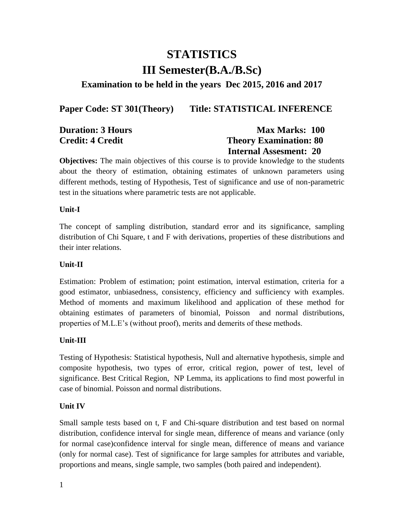# **STATISTICS III Semester(B.A./B.Sc)**

### **Examination to be held in the years Dec 2015, 2016 and 2017**

Paper Code: ST 301(Theory) Title: STATISTICAL INFERENCE

| <b>Duration: 3 Hours</b> | <b>Max Marks: 100</b>         |
|--------------------------|-------------------------------|
| <b>Credit: 4 Credit</b>  | <b>Theory Examination: 80</b> |
|                          | <b>Internal Assesment: 20</b> |

**Objectives:** The main objectives of this course is to provide knowledge to the students about the theory of estimation, obtaining estimates of unknown parameters using different methods, testing of Hypothesis, Test of significance and use of non-parametric test in the situations where parametric tests are not applicable.

#### **Unit-I**

The concept of sampling distribution, standard error and its significance, sampling distribution of Chi Square, t and F with derivations, properties of these distributions and their inter relations.

#### **Unit-II**

Estimation: Problem of estimation; point estimation, interval estimation, criteria for a good estimator, unbiasedness, consistency, efficiency and sufficiency with examples. Method of moments and maximum likelihood and application of these method for obtaining estimates of parameters of binomial, Poisson and normal distributions, properties of M.L.E's (without proof), merits and demerits of these methods.

### **Unit-III**

Testing of Hypothesis: Statistical hypothesis, Null and alternative hypothesis, simple and composite hypothesis, two types of error, critical region, power of test, level of significance. Best Critical Region, NP Lemma, its applications to find most powerful in case of binomial. Poisson and normal distributions.

### **Unit IV**

Small sample tests based on t, F and Chi-square distribution and test based on normal distribution, confidence interval for single mean, difference of means and variance (only for normal case)confidence interval for single mean, difference of means and variance (only for normal case). Test of significance for large samples for attributes and variable, proportions and means, single sample, two samples (both paired and independent).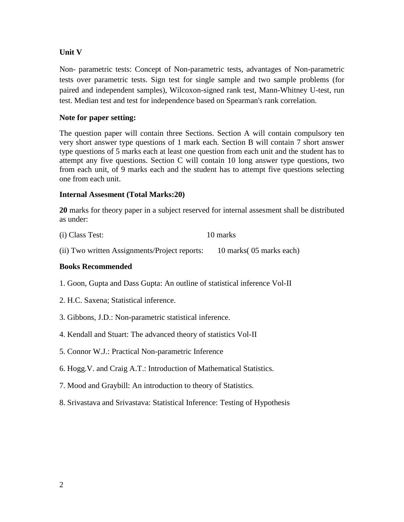### **Unit V**

Non- parametric tests: Concept of Non-parametric tests, advantages of Non-parametric tests over parametric tests. Sign test for single sample and two sample problems (for paired and independent samples), Wilcoxon-signed rank test, Mann-Whitney U-test, run test. Median test and test for independence based on Spearman's rank correlation.

### **Note for paper setting:**

The question paper will contain three Sections. Section A will contain compulsory ten very short answer type questions of 1 mark each. Section B will contain 7 short answer type questions of 5 marks each at least one question from each unit and the student has to attempt any five questions. Section C will contain 10 long answer type questions, two from each unit, of 9 marks each and the student has to attempt five questions selecting one from each unit.

### **Internal Assesment (Total Marks:20)**

**20** marks for theory paper in a subject reserved for internal assesment shall be distributed as under:

| (i) Class Test: | 10 marks |
|-----------------|----------|
|-----------------|----------|

(ii) Two written Assignments/Project reports: 10 marks( 05 marks each)

### **Books Recommended**

- 1. Goon, Gupta and Dass Gupta: An outline of statistical inference Vol-II
- 2. H.C. Saxena; Statistical inference.
- 3. Gibbons, J.D.: Non-parametric statistical inference.
- 4. Kendall and Stuart: The advanced theory of statistics Vol-II
- 5. Connor W.J.: Practical Non-parametric Inference
- 6. Hogg.V. and Craig A.T.: Introduction of Mathematical Statistics.
- 7. Mood and Graybill: An introduction to theory of Statistics.
- 8. Srivastava and Srivastava: Statistical Inference: Testing of Hypothesis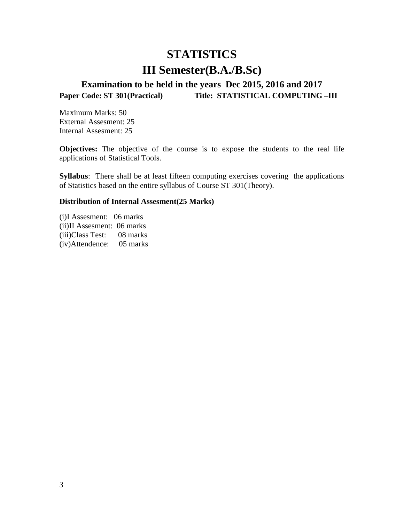## **STATISTICS III Semester(B.A./B.Sc)**

## **Examination to be held in the years Dec 2015, 2016 and 2017**  Paper Code: ST 301(Practical) Title: STATISTICAL COMPUTING –III

Maximum Marks: 50 External Assesment: 25 Internal Assesment: 25

**Objectives:** The objective of the course is to expose the students to the real life applications of Statistical Tools.

**Syllabus**: There shall be at least fifteen computing exercises covering the applications of Statistics based on the entire syllabus of Course ST 301(Theory).

#### **Distribution of Internal Assesment(25 Marks)**

(i)I Assesment: 06 marks (ii)II Assesment: 06 marks (iii)Class Test: 08 marks (iv)Attendence: 05 marks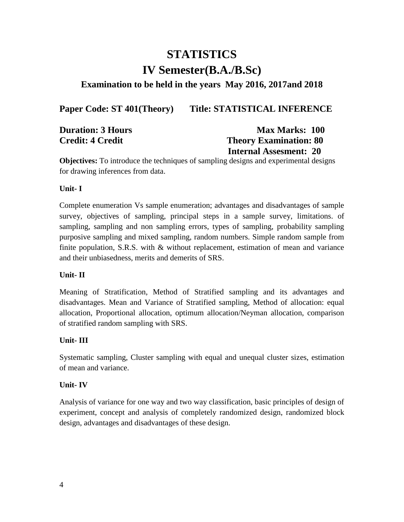# **STATISTICS IV Semester(B.A./B.Sc)**

### **Examination to be held in the years May 2016, 2017and 2018**

### Paper Code: ST 401(Theory) Title: STATISTICAL INFERENCE

| <b>Duration: 3 Hours</b> | <b>Max Marks: 100</b>         |
|--------------------------|-------------------------------|
| <b>Credit: 4 Credit</b>  | <b>Theory Examination: 80</b> |
|                          | <b>Internal Assesment: 20</b> |

**Objectives:** To introduce the techniques of sampling designs and experimental designs for drawing inferences from data.

### **Unit- I**

Complete enumeration Vs sample enumeration; advantages and disadvantages of sample survey, objectives of sampling, principal steps in a sample survey, limitations. of sampling, sampling and non sampling errors, types of sampling, probability sampling purposive sampling and mixed sampling, random numbers. Simple random sample from finite population, S.R.S. with & without replacement, estimation of mean and variance and their unbiasedness, merits and demerits of SRS.

### **Unit- II**

Meaning of Stratification, Method of Stratified sampling and its advantages and disadvantages. Mean and Variance of Stratified sampling, Method of allocation: equal allocation, Proportional allocation, optimum allocation/Neyman allocation, comparison of stratified random sampling with SRS.

### **Unit- III**

Systematic sampling, Cluster sampling with equal and unequal cluster sizes, estimation of mean and variance.

### **Unit- IV**

Analysis of variance for one way and two way classification, basic principles of design of experiment, concept and analysis of completely randomized design, randomized block design, advantages and disadvantages of these design.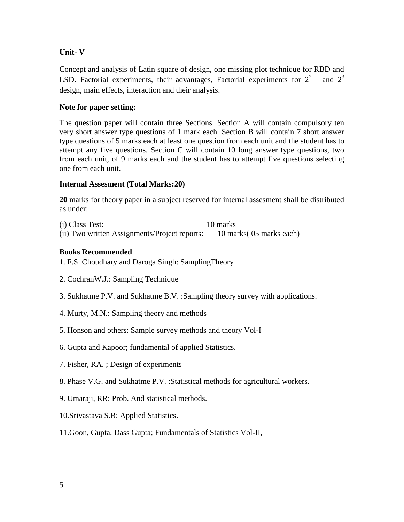### **Unit- V**

Concept and analysis of Latin square of design, one missing plot technique for RBD and LSD. Factorial experiments, their advantages, Factorial experiments for  $2^2$  and  $2^3$ design, main effects, interaction and their analysis.

### **Note for paper setting:**

The question paper will contain three Sections. Section A will contain compulsory ten very short answer type questions of 1 mark each. Section B will contain 7 short answer type questions of 5 marks each at least one question from each unit and the student has to attempt any five questions. Section C will contain 10 long answer type questions, two from each unit, of 9 marks each and the student has to attempt five questions selecting one from each unit.

### **Internal Assesment (Total Marks:20)**

**20** marks for theory paper in a subject reserved for internal assesment shall be distributed as under:

(i) Class Test: 10 marks (ii) Two written Assignments/Project reports: 10 marks( 05 marks each)

### **Books Recommended**

1. F.S. Choudhary and Daroga Singh: SamplingTheory

- 2. CochranW.J.: Sampling Technique
- 3. Sukhatme P.V. and Sukhatme B.V. :Sampling theory survey with applications.
- 4. Murty, M.N.: Sampling theory and methods
- 5. Honson and others: Sample survey methods and theory Vol-I
- 6. Gupta and Kapoor; fundamental of applied Statistics.
- 7. Fisher, RA. ; Design of experiments
- 8. Phase V.G. and Sukhatme P.V. :Statistical methods for agricultural workers.
- 9. Umaraji, RR: Prob. And statistical methods.
- 10.Srivastava S.R; Applied Statistics.
- 11.Goon, Gupta, Dass Gupta; Fundamentals of Statistics Vol-II,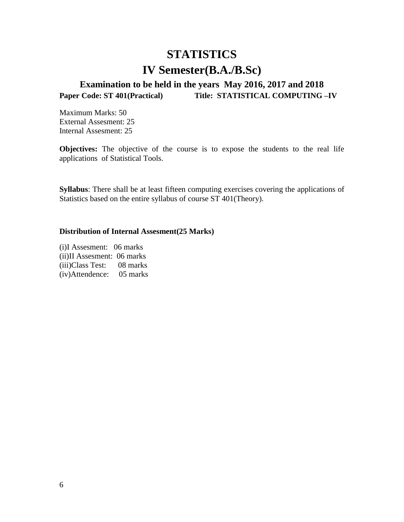# **STATISTICS IV Semester(B.A./B.Sc)**

## **Examination to be held in the years May 2016, 2017 and 2018 Paper Code: ST 401(Practical) Title: STATISTICAL COMPUTING –IV**

Maximum Marks: 50 External Assesment: 25 Internal Assesment: 25

**Objectives:** The objective of the course is to expose the students to the real life applications of Statistical Tools.

**Syllabus**: There shall be at least fifteen computing exercises covering the applications of Statistics based on the entire syllabus of course ST 401(Theory).

#### **Distribution of Internal Assesment(25 Marks)**

(i)I Assesment: 06 marks (ii)II Assesment: 06 marks (iii)Class Test: 08 marks (iv)Attendence: 05 marks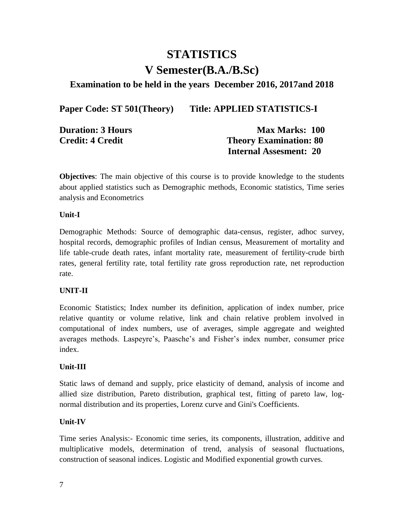## **STATISTICS V Semester(B.A./B.Sc)**

### **Examination to be held in the years December 2016, 2017and 2018**

Paper Code: ST 501(Theory) Title: APPLIED STATISTICS-I

| <b>Duration: 3 Hours</b> | <b>Max Marks: 100</b>         |
|--------------------------|-------------------------------|
| <b>Credit: 4 Credit</b>  | <b>Theory Examination: 80</b> |
|                          | <b>Internal Assesment: 20</b> |

**Objectives**: The main objective of this course is to provide knowledge to the students about applied statistics such as Demographic methods, Economic statistics, Time series analysis and Econometrics

#### **Unit-I**

Demographic Methods: Source of demographic data-census, register, adhoc survey, hospital records, demographic profiles of Indian census, Measurement of mortality and life table-crude death rates, infant mortality rate, measurement of fertility-crude birth rates, general fertility rate, total fertility rate gross reproduction rate, net reproduction rate.

### **UNIT-II**

Economic Statistics; Index number its definition, application of index number, price relative quantity or volume relative, link and chain relative problem involved in computational of index numbers, use of averages, simple aggregate and weighted averages methods. Laspeyre's, Paasche's and Fisher's index number, consumer price index.

### **Unit-III**

Static laws of demand and supply, price elasticity of demand, analysis of income and allied size distribution, Pareto distribution, graphical test, fitting of pareto law, lognormal distribution and its properties, Lorenz curve and Gini's Coefficients.

### **Unit-IV**

Time series Analysis:- Economic time series, its components, illustration, additive and multiplicative models, determination of trend, analysis of seasonal fluctuations, construction of seasonal indices. Logistic and Modified exponential growth curves.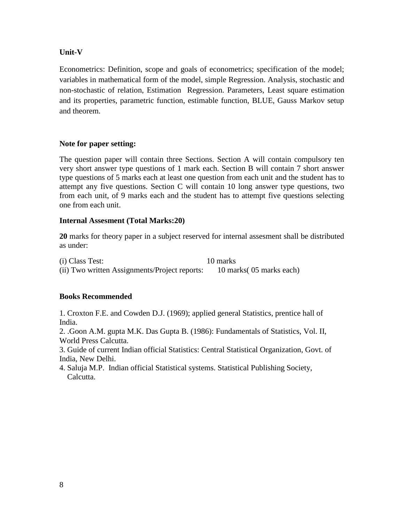### **Unit-V**

Econometrics: Definition, scope and goals of econometrics; specification of the model; variables in mathematical form of the model, simple Regression. Analysis, stochastic and non-stochastic of relation, Estimation Regression. Parameters, Least square estimation and its properties, parametric function, estimable function, BLUE, Gauss Markov setup and theorem.

### **Note for paper setting:**

The question paper will contain three Sections. Section A will contain compulsory ten very short answer type questions of 1 mark each. Section B will contain 7 short answer type questions of 5 marks each at least one question from each unit and the student has to attempt any five questions. Section C will contain 10 long answer type questions, two from each unit, of 9 marks each and the student has to attempt five questions selecting one from each unit.

### **Internal Assesment (Total Marks:20)**

**20** marks for theory paper in a subject reserved for internal assesment shall be distributed as under:

(i) Class Test: 10 marks (ii) Two written Assignments/Project reports: 10 marks( 05 marks each)

### **Books Recommended**

1. Croxton F.E. and Cowden D.J. (1969); applied general Statistics, prentice hall of India.

2. .Goon A.M. gupta M.K. Das Gupta B. (1986): Fundamentals of Statistics, Vol. II, World Press Calcutta.

3. Guide of current Indian official Statistics: Central Statistical Organization, Govt. of India, New Delhi.

4. Saluja M.P. Indian official Statistical systems. Statistical Publishing Society, Calcutta.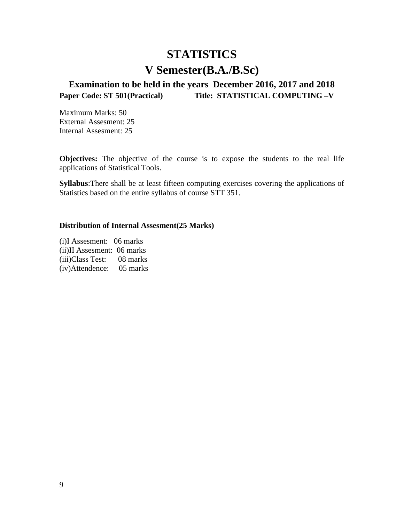# **STATISTICS V Semester(B.A./B.Sc)**

**Examination to be held in the years December 2016, 2017 and 2018 Paper Code: ST 501(Practical) Title: STATISTICAL COMPUTING –V** 

Maximum Marks: 50 External Assesment: 25 Internal Assesment: 25

**Objectives:** The objective of the course is to expose the students to the real life applications of Statistical Tools.

**Syllabus**:There shall be at least fifteen computing exercises covering the applications of Statistics based on the entire syllabus of course STT 351.

### **Distribution of Internal Assesment(25 Marks)**

(i)I Assesment: 06 marks (ii)II Assesment: 06 marks (iii)Class Test: 08 marks (iv)Attendence: 05 marks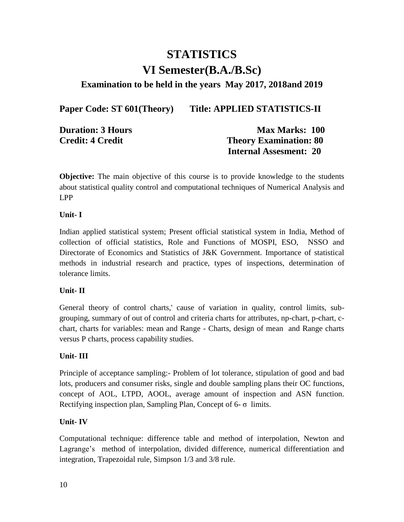# **STATISTICS VI Semester(B.A./B.Sc)**

### **Examination to be held in the years May 2017, 2018and 2019**

Paper Code: ST 601(Theory) Title: APPLIED STATISTICS-II

| <b>Duration: 3 Hours</b> |
|--------------------------|
| <b>Credit: 4 Credit</b>  |

**Max Marks: 100 Theory Examination: 80 Internal Assesment: 20**

**Objective:** The main objective of this course is to provide knowledge to the students about statistical quality control and computational techniques of Numerical Analysis and LPP

### **Unit- I**

Indian applied statistical system; Present official statistical system in India, Method of collection of official statistics, Role and Functions of MOSPI, ESO, NSSO and Directorate of Economics and Statistics of J&K Government. Importance of statistical methods in industrial research and practice, types of inspections, determination of tolerance limits.

### **Unit- II**

General theory of control charts,' cause of variation in quality, control limits, subgrouping, summary of out of control and criteria charts for attributes, np-chart, p-chart, cchart, charts for variables: mean and Range - Charts, design of mean and Range charts versus P charts, process capability studies.

### **Unit- III**

Principle of acceptance sampling:- Problem of lot tolerance, stipulation of good and bad lots, producers and consumer risks, single and double sampling plans their OC functions, concept of AOL, LTPD, AOOL, average amount of inspection and ASN function. Rectifying inspection plan, Sampling Plan, Concept of  $6-\sigma$  limits.

### **Unit- IV**

Computational technique: difference table and method of interpolation, Newton and Lagrange's method of interpolation, divided difference, numerical differentiation and integration, Trapezoidal rule, Simpson 1/3 and 3/8 rule.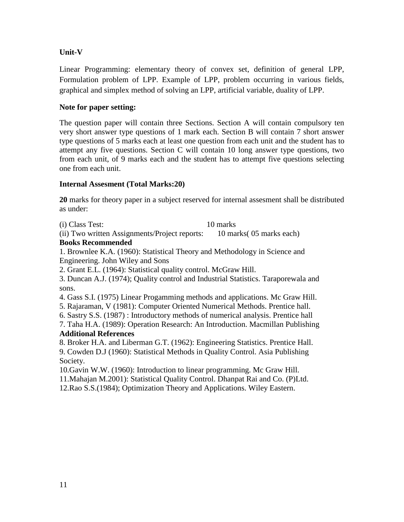### **Unit-V**

Linear Programming: elementary theory of convex set, definition of general LPP, Formulation problem of LPP. Example of LPP, problem occurring in various fields, graphical and simplex method of solving an LPP, artificial variable, duality of LPP.

### **Note for paper setting:**

The question paper will contain three Sections. Section A will contain compulsory ten very short answer type questions of 1 mark each. Section B will contain 7 short answer type questions of 5 marks each at least one question from each unit and the student has to attempt any five questions. Section C will contain 10 long answer type questions, two from each unit, of 9 marks each and the student has to attempt five questions selecting one from each unit.

### **Internal Assesment (Total Marks:20)**

**20** marks for theory paper in a subject reserved for internal assesment shall be distributed as under:

(i) Class Test: 10 marks

(ii) Two written Assignments/Project reports: 10 marks( 05 marks each)

### **Books Recommended**

1. Brownlee K.A. (1960): Statistical Theory and Methodology in Science and Engineering. John Wiley and Sons

2. Grant E.L. (1964): Statistical quality control. McGraw Hill.

3. Duncan A.J. (1974); Quality control and Industrial Statistics. Taraporewala and sons.

4. Gass S.I. (1975) Linear Progamming methods and applications. Mc Graw Hill.

5. Rajaraman, V (1981): Computer Oriented Numerical Methods. Prentice hall.

6. Sastry S.S. (1987) : Introductory methods of numerical analysis. Prentice hall

7. Taha H.A. (1989): Operation Research: An Introduction. Macmillan Publishing **Additional References**

8. Broker H.A. and Liberman G.T. (1962): Engineering Statistics. Prentice Hall.

9. Cowden D.J (1960): Statistical Methods in Quality Control. Asia Publishing Society.

10.Gavin W.W. (1960): Introduction to linear programming. Mc Graw Hill. 11.Mahajan M.2001): Statistical Quality Control. Dhanpat Rai and Co. (P)Ltd.

12.Rao S.S.(1984); Optimization Theory and Applications. Wiley Eastern.